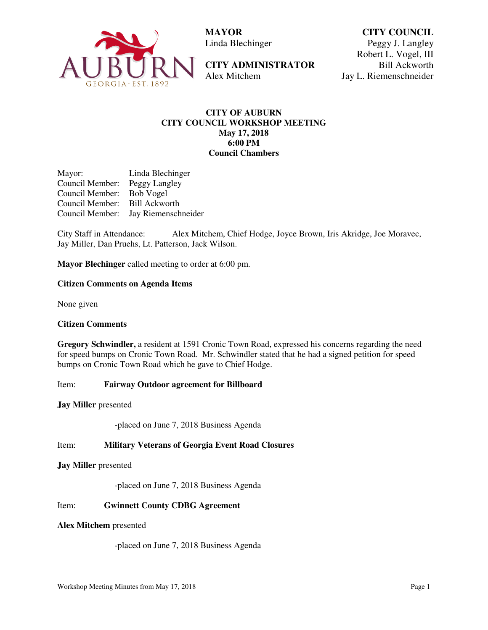

 **MAYOR**  Linda Blechinger

**CITY ADMINISTRATOR**  Alex Mitchem

**CITY COUNCIL** Peggy J. Langley Robert L. Vogel, III Bill Ackworth Jay L. Riemenschneider

## **CITY OF AUBURN CITY COUNCIL WORKSHOP MEETING May 17, 2018 6:00 PM Council Chambers**

Mayor: Linda Blechinger Council Member: Peggy Langley Council Member: Bob Vogel Council Member: Bill Ackworth Council Member: Jay Riemenschneider

City Staff in Attendance: Alex Mitchem, Chief Hodge, Joyce Brown, Iris Akridge, Joe Moravec, Jay Miller, Dan Pruehs, Lt. Patterson, Jack Wilson.

**Mayor Blechinger** called meeting to order at 6:00 pm.

## **Citizen Comments on Agenda Items**

None given

#### **Citizen Comments**

**Gregory Schwindler,** a resident at 1591 Cronic Town Road, expressed his concerns regarding the need for speed bumps on Cronic Town Road. Mr. Schwindler stated that he had a signed petition for speed bumps on Cronic Town Road which he gave to Chief Hodge.

Item: **Fairway Outdoor agreement for Billboard** 

**Jay Miller** presented

-placed on June 7, 2018 Business Agenda

Item: **Military Veterans of Georgia Event Road Closures** 

**Jay Miller** presented

-placed on June 7, 2018 Business Agenda

#### Item: **Gwinnett County CDBG Agreement**

## **Alex Mitchem** presented

-placed on June 7, 2018 Business Agenda